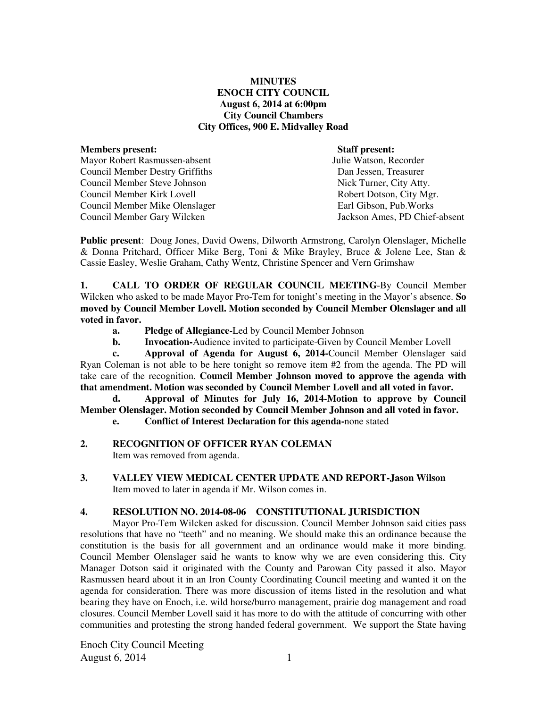#### **MINUTES ENOCH CITY COUNCIL August 6, 2014 at 6:00pm City Council Chambers City Offices, 900 E. Midvalley Road**

#### **Members present: Mathematic Staff present: Staff present: Mathematic Mathematic Staff present: Mathematic Mathematic Staff present: Mathematic Mathematic Staff present: Mathematic Mathematic Mathematic Mathema** Mayor Robert Rasmussen-absent

Council Member Destry Griffiths Dan Jessen, Treasurer Council Member Steve Johnson Nick Turner, City Atty. Council Member Kirk Lovell **Robert Dotson, City Mgr.** Robert Dotson, City Mgr. Council Member Mike Olenslager Earl Gibson, Pub.Works Council Member Gary Wilcken Jackson Ames, PD Chief-absent

**Public present**: Doug Jones, David Owens, Dilworth Armstrong, Carolyn Olenslager, Michelle & Donna Pritchard, Officer Mike Berg, Toni & Mike Brayley, Bruce & Jolene Lee, Stan & Cassie Easley, Weslie Graham, Cathy Wentz, Christine Spencer and Vern Grimshaw

**1. CALL TO ORDER OF REGULAR COUNCIL MEETING**-By Council Member Wilcken who asked to be made Mayor Pro-Tem for tonight's meeting in the Mayor's absence. **So moved by Council Member Lovell. Motion seconded by Council Member Olenslager and all voted in favor.** 

- **a. Pledge of Allegiance-**Led by Council Member Johnson
- **b.** Invocation-Audience invited to participate-Given by Council Member Lovell

 **c. Approval of Agenda for August 6, 2014-**Council Member Olenslager said Ryan Coleman is not able to be here tonight so remove item #2 from the agenda. The PD will take care of the recognition. **Council Member Johnson moved to approve the agenda with that amendment. Motion was seconded by Council Member Lovell and all voted in favor.** 

 **d. Approval of Minutes for July 16, 2014-Motion to approve by Council Member Olenslager. Motion seconded by Council Member Johnson and all voted in favor.** 

 **e. Conflict of Interest Declaration for this agenda-**none stated

#### **2. RECOGNITION OF OFFICER RYAN COLEMAN**

Item was removed from agenda.

**3. VALLEY VIEW MEDICAL CENTER UPDATE AND REPORT-Jason Wilson**  Item moved to later in agenda if Mr. Wilson comes in.

## **4. RESOLUTION NO. 2014-08-06 CONSTITUTIONAL JURISDICTION**

Mayor Pro-Tem Wilcken asked for discussion. Council Member Johnson said cities pass resolutions that have no "teeth" and no meaning. We should make this an ordinance because the constitution is the basis for all government and an ordinance would make it more binding. Council Member Olenslager said he wants to know why we are even considering this. City Manager Dotson said it originated with the County and Parowan City passed it also. Mayor Rasmussen heard about it in an Iron County Coordinating Council meeting and wanted it on the agenda for consideration. There was more discussion of items listed in the resolution and what bearing they have on Enoch, i.e. wild horse/burro management, prairie dog management and road closures. Council Member Lovell said it has more to do with the attitude of concurring with other communities and protesting the strong handed federal government.We support the State having

Enoch City Council Meeting August 6, 2014 1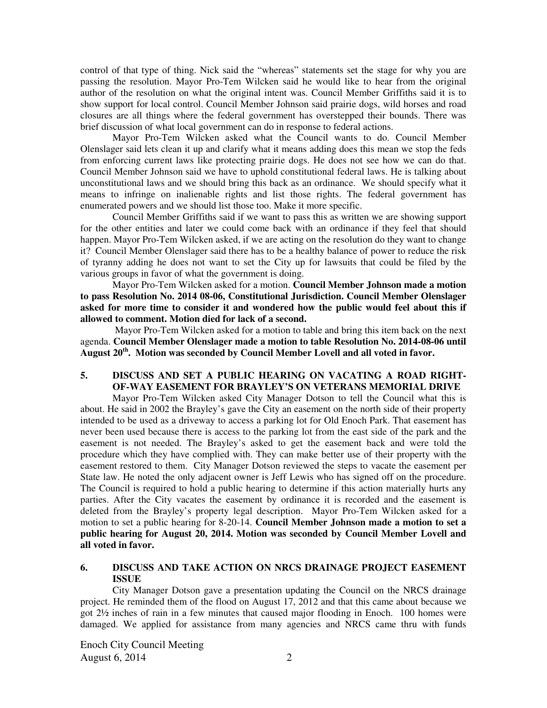control of that type of thing. Nick said the "whereas" statements set the stage for why you are passing the resolution. Mayor Pro-Tem Wilcken said he would like to hear from the original author of the resolution on what the original intent was. Council Member Griffiths said it is to show support for local control. Council Member Johnson said prairie dogs, wild horses and road closures are all things where the federal government has overstepped their bounds. There was brief discussion of what local government can do in response to federal actions.

Mayor Pro-Tem Wilcken asked what the Council wants to do. Council Member Olenslager said lets clean it up and clarify what it means adding does this mean we stop the feds from enforcing current laws like protecting prairie dogs. He does not see how we can do that. Council Member Johnson said we have to uphold constitutional federal laws. He is talking about unconstitutional laws and we should bring this back as an ordinance. We should specify what it means to infringe on inalienable rights and list those rights. The federal government has enumerated powers and we should list those too. Make it more specific.

Council Member Griffiths said if we want to pass this as written we are showing support for the other entities and later we could come back with an ordinance if they feel that should happen. Mayor Pro-Tem Wilcken asked, if we are acting on the resolution do they want to change it? Council Member Olenslager said there has to be a healthy balance of power to reduce the risk of tyranny adding he does not want to set the City up for lawsuits that could be filed by the various groups in favor of what the government is doing.

Mayor Pro-Tem Wilcken asked for a motion. **Council Member Johnson made a motion to pass Resolution No. 2014 08-06, Constitutional Jurisdiction. Council Member Olenslager asked for more time to consider it and wondered how the public would feel about this if allowed to comment. Motion died for lack of a second.** 

 Mayor Pro-Tem Wilcken asked for a motion to table and bring this item back on the next agenda. **Council Member Olenslager made a motion to table Resolution No. 2014-08-06 until August 20th. Motion was seconded by Council Member Lovell and all voted in favor.** 

#### **5. DISCUSS AND SET A PUBLIC HEARING ON VACATING A ROAD RIGHT-OF-WAY EASEMENT FOR BRAYLEY'S ON VETERANS MEMORIAL DRIVE**

Mayor Pro-Tem Wilcken asked City Manager Dotson to tell the Council what this is about. He said in 2002 the Brayley's gave the City an easement on the north side of their property intended to be used as a driveway to access a parking lot for Old Enoch Park. That easement has never been used because there is access to the parking lot from the east side of the park and the easement is not needed. The Brayley's asked to get the easement back and were told the procedure which they have complied with. They can make better use of their property with the easement restored to them. City Manager Dotson reviewed the steps to vacate the easement per State law. He noted the only adjacent owner is Jeff Lewis who has signed off on the procedure. The Council is required to hold a public hearing to determine if this action materially hurts any parties. After the City vacates the easement by ordinance it is recorded and the easement is deleted from the Brayley's property legal description. Mayor Pro-Tem Wilcken asked for a motion to set a public hearing for 8-20-14. **Council Member Johnson made a motion to set a public hearing for August 20, 2014. Motion was seconded by Council Member Lovell and all voted in favor.** 

#### **6. DISCUSS AND TAKE ACTION ON NRCS DRAINAGE PROJECT EASEMENT ISSUE**

City Manager Dotson gave a presentation updating the Council on the NRCS drainage project. He reminded them of the flood on August 17, 2012 and that this came about because we got 2½ inches of rain in a few minutes that caused major flooding in Enoch. 100 homes were damaged. We applied for assistance from many agencies and NRCS came thru with funds

Enoch City Council Meeting August 6, 2014 2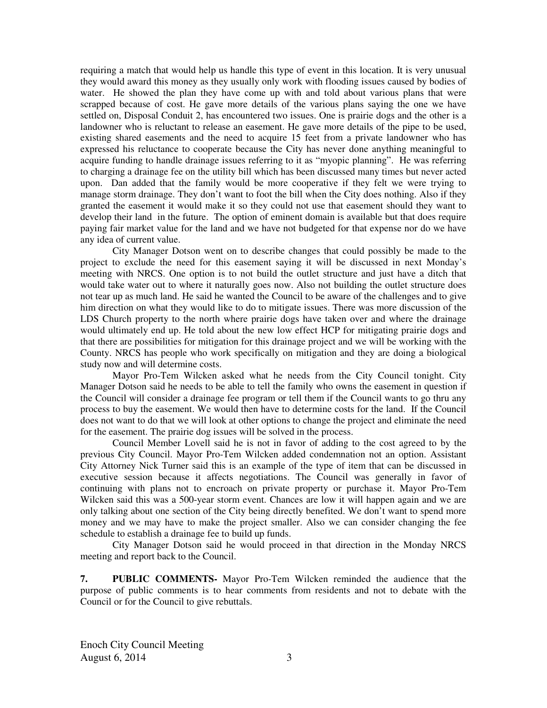requiring a match that would help us handle this type of event in this location. It is very unusual they would award this money as they usually only work with flooding issues caused by bodies of water. He showed the plan they have come up with and told about various plans that were scrapped because of cost. He gave more details of the various plans saying the one we have settled on, Disposal Conduit 2, has encountered two issues. One is prairie dogs and the other is a landowner who is reluctant to release an easement. He gave more details of the pipe to be used, existing shared easements and the need to acquire 15 feet from a private landowner who has expressed his reluctance to cooperate because the City has never done anything meaningful to acquire funding to handle drainage issues referring to it as "myopic planning". He was referring to charging a drainage fee on the utility bill which has been discussed many times but never acted upon. Dan added that the family would be more cooperative if they felt we were trying to manage storm drainage. They don't want to foot the bill when the City does nothing. Also if they granted the easement it would make it so they could not use that easement should they want to develop their land in the future. The option of eminent domain is available but that does require paying fair market value for the land and we have not budgeted for that expense nor do we have any idea of current value.

City Manager Dotson went on to describe changes that could possibly be made to the project to exclude the need for this easement saying it will be discussed in next Monday's meeting with NRCS. One option is to not build the outlet structure and just have a ditch that would take water out to where it naturally goes now. Also not building the outlet structure does not tear up as much land. He said he wanted the Council to be aware of the challenges and to give him direction on what they would like to do to mitigate issues. There was more discussion of the LDS Church property to the north where prairie dogs have taken over and where the drainage would ultimately end up. He told about the new low effect HCP for mitigating prairie dogs and that there are possibilities for mitigation for this drainage project and we will be working with the County. NRCS has people who work specifically on mitigation and they are doing a biological study now and will determine costs.

Mayor Pro-Tem Wilcken asked what he needs from the City Council tonight. City Manager Dotson said he needs to be able to tell the family who owns the easement in question if the Council will consider a drainage fee program or tell them if the Council wants to go thru any process to buy the easement. We would then have to determine costs for the land. If the Council does not want to do that we will look at other options to change the project and eliminate the need for the easement. The prairie dog issues will be solved in the process.

Council Member Lovell said he is not in favor of adding to the cost agreed to by the previous City Council. Mayor Pro-Tem Wilcken added condemnation not an option. Assistant City Attorney Nick Turner said this is an example of the type of item that can be discussed in executive session because it affects negotiations. The Council was generally in favor of continuing with plans not to encroach on private property or purchase it. Mayor Pro-Tem Wilcken said this was a 500-year storm event. Chances are low it will happen again and we are only talking about one section of the City being directly benefited. We don't want to spend more money and we may have to make the project smaller. Also we can consider changing the fee schedule to establish a drainage fee to build up funds.

City Manager Dotson said he would proceed in that direction in the Monday NRCS meeting and report back to the Council.

**7. PUBLIC COMMENTS-** Mayor Pro-Tem Wilcken reminded the audience that the purpose of public comments is to hear comments from residents and not to debate with the Council or for the Council to give rebuttals.